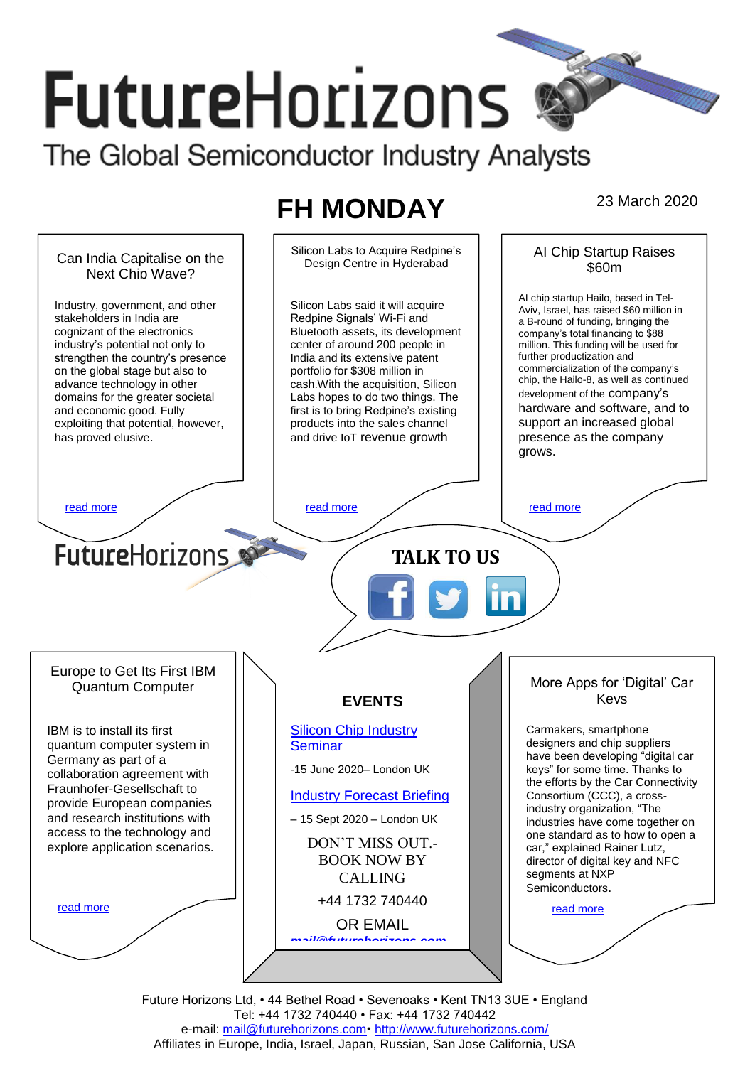# **FutureHorizons**

The Global Semiconductor Industry Analysts

## **FH MONDAY** 23 March 2020



Future Horizons Ltd, • 44 Bethel Road • Sevenoaks • Kent TN13 3UE • England Tel: +44 1732 740440 • Fax: +44 1732 740442 e-mail: mail@futurehorizons.com• http://www.futurehorizons.com/ Affiliates in Europe, India, Israel, Japan, Russian, San Jose California, USA